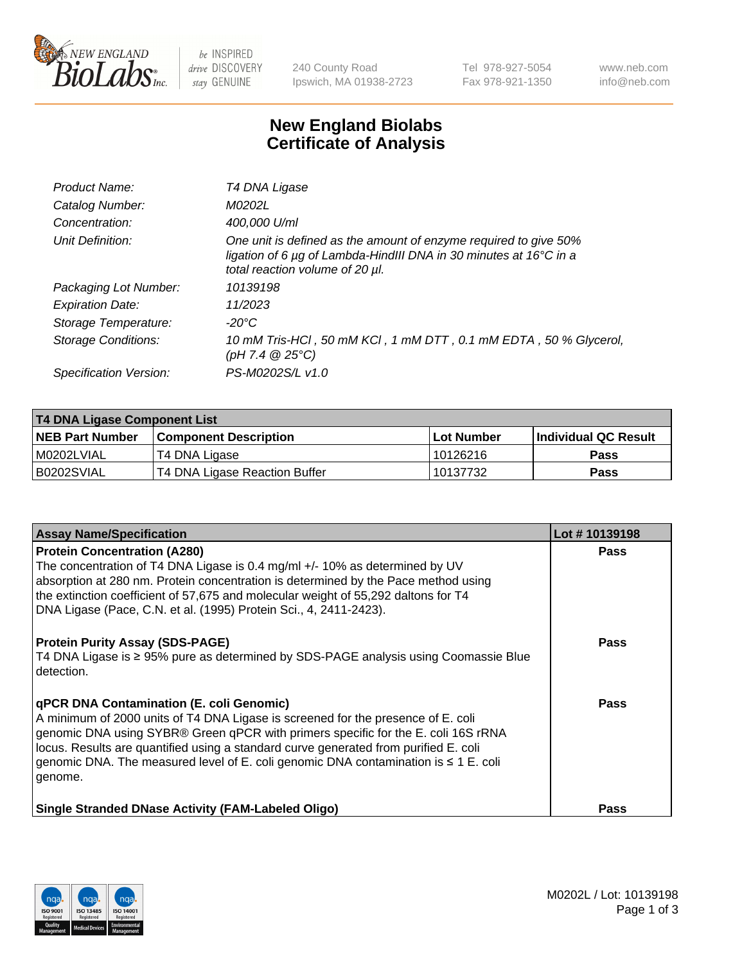

 $be$  INSPIRED drive DISCOVERY stay GENUINE

240 County Road Ipswich, MA 01938-2723 Tel 978-927-5054 Fax 978-921-1350 www.neb.com info@neb.com

## **New England Biolabs Certificate of Analysis**

| Product Name:              | T4 DNA Ligase                                                                                                                                                            |
|----------------------------|--------------------------------------------------------------------------------------------------------------------------------------------------------------------------|
| Catalog Number:            | M0202L                                                                                                                                                                   |
| Concentration:             | 400,000 U/ml                                                                                                                                                             |
| Unit Definition:           | One unit is defined as the amount of enzyme required to give 50%<br>ligation of 6 µg of Lambda-HindIII DNA in 30 minutes at 16°C in a<br>total reaction volume of 20 µl. |
| Packaging Lot Number:      | 10139198                                                                                                                                                                 |
| <b>Expiration Date:</b>    | 11/2023                                                                                                                                                                  |
| Storage Temperature:       | $-20^{\circ}$ C                                                                                                                                                          |
| <b>Storage Conditions:</b> | 10 mM Tris-HCl, 50 mM KCl, 1 mM DTT, 0.1 mM EDTA, 50 % Glycerol,<br>(pH 7.4 $@25°C$ )                                                                                    |
| Specification Version:     | PS-M0202S/L v1.0                                                                                                                                                         |

| T4 DNA Ligase Component List |                               |              |                             |  |
|------------------------------|-------------------------------|--------------|-----------------------------|--|
| <b>NEB Part Number</b>       | <b>Component Description</b>  | l Lot Number | <b>Individual QC Result</b> |  |
| M0202LVIAL                   | T4 DNA Ligase                 | 10126216     | <b>Pass</b>                 |  |
| B0202SVIAL                   | T4 DNA Ligase Reaction Buffer | 10137732     | <b>Pass</b>                 |  |

| <b>Assay Name/Specification</b>                                                                                                                                                                                                                                                                                                                                                                                    | Lot #10139198 |
|--------------------------------------------------------------------------------------------------------------------------------------------------------------------------------------------------------------------------------------------------------------------------------------------------------------------------------------------------------------------------------------------------------------------|---------------|
| <b>Protein Concentration (A280)</b><br>The concentration of T4 DNA Ligase is 0.4 mg/ml +/- 10% as determined by UV<br>absorption at 280 nm. Protein concentration is determined by the Pace method using<br>the extinction coefficient of 57,675 and molecular weight of 55,292 daltons for T4<br>DNA Ligase (Pace, C.N. et al. (1995) Protein Sci., 4, 2411-2423).                                                | <b>Pass</b>   |
| <b>Protein Purity Assay (SDS-PAGE)</b><br>T4 DNA Ligase is ≥ 95% pure as determined by SDS-PAGE analysis using Coomassie Blue<br>detection.                                                                                                                                                                                                                                                                        | <b>Pass</b>   |
| <b>qPCR DNA Contamination (E. coli Genomic)</b><br>A minimum of 2000 units of T4 DNA Ligase is screened for the presence of E. coli<br>genomic DNA using SYBR® Green qPCR with primers specific for the E. coli 16S rRNA<br>locus. Results are quantified using a standard curve generated from purified E. coli<br>genomic DNA. The measured level of E. coli genomic DNA contamination is ≤ 1 E. coli<br>genome. | Pass          |
| <b>Single Stranded DNase Activity (FAM-Labeled Oligo)</b>                                                                                                                                                                                                                                                                                                                                                          | <b>Pass</b>   |

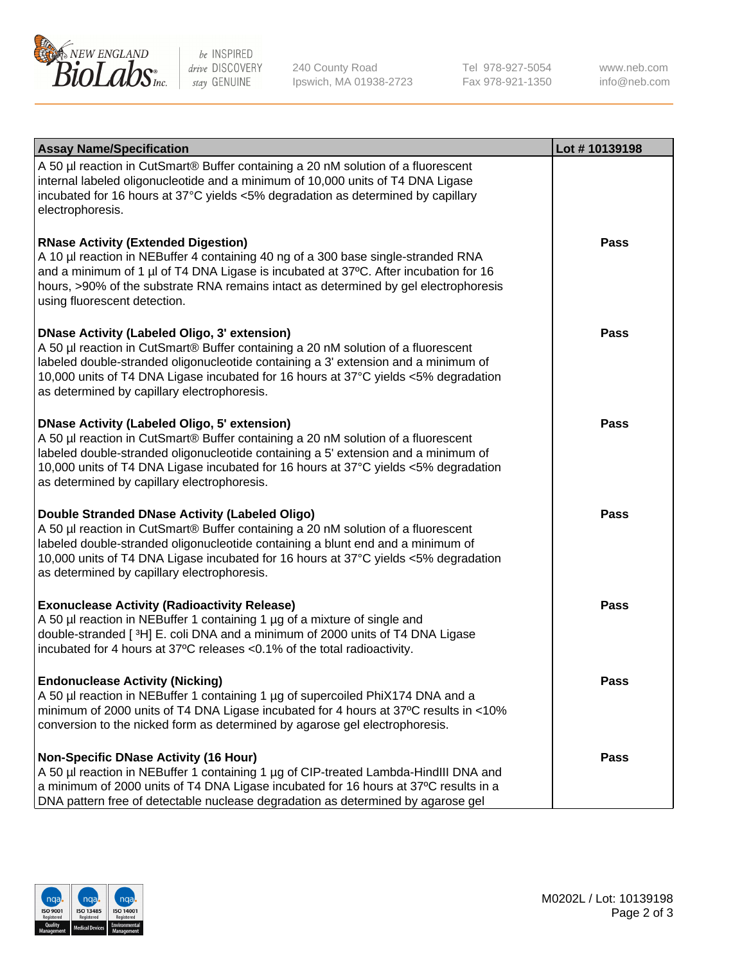

be INSPIRED drive DISCOVERY stay GENUINE

240 County Road Ipswich, MA 01938-2723 Tel 978-927-5054 Fax 978-921-1350

www.neb.com info@neb.com

| <b>Assay Name/Specification</b>                                                                                                                                                                                                                                                                                                                                      | Lot #10139198 |
|----------------------------------------------------------------------------------------------------------------------------------------------------------------------------------------------------------------------------------------------------------------------------------------------------------------------------------------------------------------------|---------------|
| A 50 µl reaction in CutSmart® Buffer containing a 20 nM solution of a fluorescent<br>internal labeled oligonucleotide and a minimum of 10,000 units of T4 DNA Ligase<br>incubated for 16 hours at 37°C yields <5% degradation as determined by capillary<br>electrophoresis.                                                                                         |               |
| <b>RNase Activity (Extended Digestion)</b><br>A 10 µl reaction in NEBuffer 4 containing 40 ng of a 300 base single-stranded RNA<br>and a minimum of 1 µl of T4 DNA Ligase is incubated at 37°C. After incubation for 16<br>hours, >90% of the substrate RNA remains intact as determined by gel electrophoresis<br>using fluorescent detection.                      | Pass          |
| <b>DNase Activity (Labeled Oligo, 3' extension)</b><br>A 50 µl reaction in CutSmart® Buffer containing a 20 nM solution of a fluorescent<br>labeled double-stranded oligonucleotide containing a 3' extension and a minimum of<br>10,000 units of T4 DNA Ligase incubated for 16 hours at 37°C yields <5% degradation<br>as determined by capillary electrophoresis. | Pass          |
| <b>DNase Activity (Labeled Oligo, 5' extension)</b><br>A 50 µl reaction in CutSmart® Buffer containing a 20 nM solution of a fluorescent<br>labeled double-stranded oligonucleotide containing a 5' extension and a minimum of<br>10,000 units of T4 DNA Ligase incubated for 16 hours at 37°C yields <5% degradation<br>as determined by capillary electrophoresis. | Pass          |
| Double Stranded DNase Activity (Labeled Oligo)<br>A 50 µl reaction in CutSmart® Buffer containing a 20 nM solution of a fluorescent<br>labeled double-stranded oligonucleotide containing a blunt end and a minimum of<br>10,000 units of T4 DNA Ligase incubated for 16 hours at 37°C yields <5% degradation<br>as determined by capillary electrophoresis.         | Pass          |
| <b>Exonuclease Activity (Radioactivity Release)</b><br>A 50 µl reaction in NEBuffer 1 containing 1 µg of a mixture of single and<br>double-stranded [3H] E. coli DNA and a minimum of 2000 units of T4 DNA Ligase<br>incubated for 4 hours at 37°C releases <0.1% of the total radioactivity.                                                                        | <b>Pass</b>   |
| <b>Endonuclease Activity (Nicking)</b><br>A 50 µl reaction in NEBuffer 1 containing 1 µg of supercoiled PhiX174 DNA and a<br>minimum of 2000 units of T4 DNA Ligase incubated for 4 hours at 37°C results in <10%<br>conversion to the nicked form as determined by agarose gel electrophoresis.                                                                     | <b>Pass</b>   |
| <b>Non-Specific DNase Activity (16 Hour)</b><br>A 50 µl reaction in NEBuffer 1 containing 1 µg of CIP-treated Lambda-HindIII DNA and<br>a minimum of 2000 units of T4 DNA Ligase incubated for 16 hours at 37°C results in a<br>DNA pattern free of detectable nuclease degradation as determined by agarose gel                                                     | Pass          |